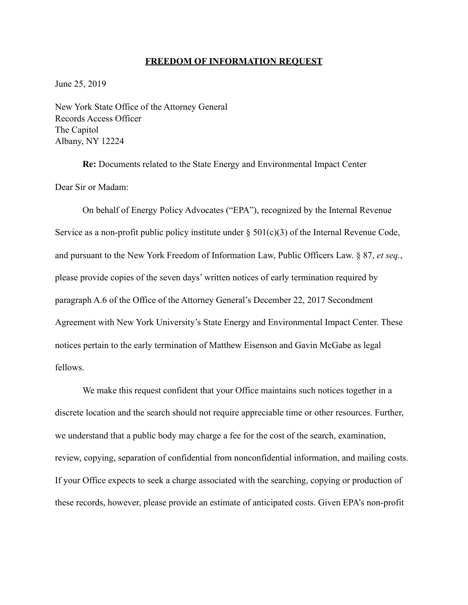## **FREEDOM OF INFORMATION REQUEST**

June 25, 2019

New York State Office of the Attorney General Records Access Officer The Capitol Albany, NY 12224

 **Re:** Documents related to the State Energy and Environmental Impact Center Dear Sir or Madam:

 On behalf of Energy Policy Advocates ("EPA"), recognized by the Internal Revenue Service as a non-profit public policy institute under  $\S 501(c)(3)$  of the Internal Revenue Code, and pursuant to the New York Freedom of Information Law, Public Officers Law. § 87, *et seq.*, please provide copies of the seven days' written notices of early termination required by paragraph A.6 of the Office of the Attorney General's December 22, 2017 Secondment Agreement with New York University's State Energy and Environmental Impact Center. These notices pertain to the early termination of Matthew Eisenson and Gavin McGabe as legal fellows.

 We make this request confident that your Office maintains such notices together in a discrete location and the search should not require appreciable time or other resources. Further, we understand that a public body may charge a fee for the cost of the search, examination, review, copying, separation of confidential from nonconfidential information, and mailing costs. If your Office expects to seek a charge associated with the searching, copying or production of these records, however, please provide an estimate of anticipated costs. Given EPA's non-profit